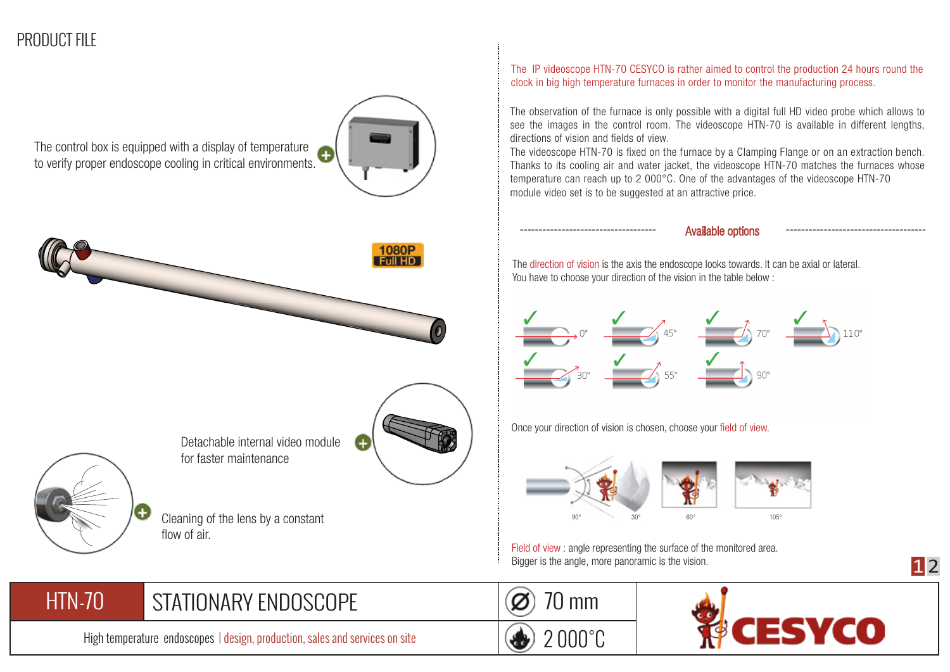## PRODUCT FILE

The control box is equipped with a display of temperature to verify proper endoscope cooling in critical environments.





for faster maintenance

Cleaning of the lens by a constant flow of air.

The IP videoscope HTN-70 CESYCO is rather aimed to control the production 24 hours round the clock in big high temperature furnaces in order to monitor the manufacturing process.

The observation of the furnace is only possible with a digital full HD video probe which allows to see the images in the control room. The videoscope HTN-70 is available in different lengths, directions of vision and fields of view.

The videoscope HTN-70 is fixed on the furnace by a Clamping Flange or on an extraction bench. Thanks to its cooling air and water jacket, the videoscope HTN-70 matches the furnaces whose temperature can reach up to 2 000°C. One of the advantages of the videoscope HTN-70 module video set is to be suggested at an attractive price.

------------------------------------ ------------------------------------- Available options

The direction of vision is the axis the endoscope looks towards. It can be axial or lateral. You have to choose your direction of the vision in the table below :



Once your direction of vision is chosen, choose your field of view.



Field of view : angle representing the surface of the monitored area. Bigger is the angle, more panoramic is the vision.

## STATIONARY ENDOSCOPE (Ø) 70 mm HTN-70

High temperature endoscopes | design, production, sales and services on site

2 000°C



**1**2